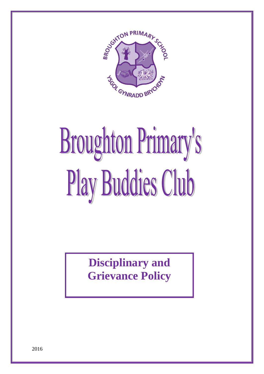

# **Broughton Primary's** Play Buddies Club

**Disciplinary and Grievance Policy**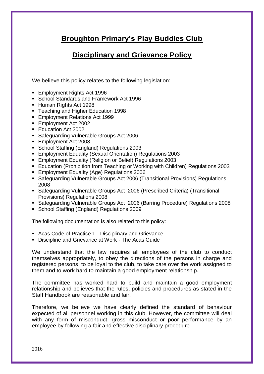# **Broughton Primary's Play Buddies Club**

# **Disciplinary and Grievance Policy**

We believe this policy relates to the following legislation:

- Employment Rights Act 1996
- School Standards and Framework Act 1996
- Human Rights Act 1998
- Teaching and Higher Education 1998
- Employment Relations Act 1999
- Employment Act 2002
- Education Act 2002
- Safeguarding Vulnerable Groups Act 2006
- Employment Act 2008
- School Staffing (England) Regulations 2003
- Employment Equality (Sexual Orientation) Regulations 2003
- Employment Equality (Religion or Belief) Regulations 2003
- Education (Prohibition from Teaching or Working with Children) Regulations 2003
- **Employment Equality (Age) Regulations 2006**
- Safeguarding Vulnerable Groups Act 2006 (Transitional Provisions) Regulations 2008
- Safeguarding Vulnerable Groups Act 2006 (Prescribed Criteria) (Transitional Provisions) Regulations 2008
- Safeguarding Vulnerable Groups Act 2006 (Barring Procedure) Regulations 2008
- School Staffing (England) Regulations 2009

The following documentation is also related to this policy:

- Acas Code of Practice 1 Disciplinary and Grievance
- **EXECT** Discipline and Grievance at Work The Acas Guide

We understand that the law requires all employees of the club to conduct themselves appropriately, to obey the directions of the persons in charge and registered persons, to be loyal to the club, to take care over the work assigned to them and to work hard to maintain a good employment relationship.

The committee has worked hard to build and maintain a good employment relationship and believes that the rules, policies and procedures as stated in the Staff Handbook are reasonable and fair.

Therefore, we believe we have clearly defined the standard of behaviour expected of all personnel working in this club. However, the committee will deal with any form of misconduct, gross misconduct or poor performance by an employee by following a fair and effective disciplinary procedure.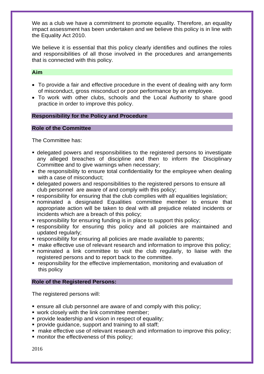We as a club we have a commitment to promote equality. Therefore, an equality impact assessment has been undertaken and we believe this policy is in line with the Equality Act 2010.

We believe it is essential that this policy clearly identifies and outlines the roles and responsibilities of all those involved in the procedures and arrangements that is connected with this policy.

# **Aim**

- To provide a fair and effective procedure in the event of dealing with any form of misconduct, gross misconduct or poor performance by an employee.
- To work with other clubs, schools and the Local Authority to share good practice in order to improve this policy.

# **Responsibility for the Policy and Procedure**

## **Role of the Committee**

The Committee has:

- delegated powers and responsibilities to the registered persons to investigate any alleged breaches of discipline and then to inform the Disciplinary Committee and to give warnings when necessary;
- the responsibility to ensure total confidentiality for the employee when dealing with a case of misconduct;
- delegated powers and responsibilities to the registered persons to ensure all club personnel are aware of and comply with this policy;
- responsibility for ensuring that the club complies with all equalities legislation;
- nominated a designated Equalities committee member to ensure that appropriate action will be taken to deal with all prejudice related incidents or incidents which are a breach of this policy;
- responsibility for ensuring funding is in place to support this policy;
- responsibility for ensuring this policy and all policies are maintained and updated regularly;
- responsibility for ensuring all policies are made available to parents;
- make effective use of relevant research and information to improve this policy;
- nominated a link committee to visit the club regularly, to liaise with the registered persons and to report back to the committee.
- responsibility for the effective implementation, monitoring and evaluation of this policy

# **Role of the Registered Persons:**

The registered persons will:

- ensure all club personnel are aware of and comply with this policy;
- work closely with the link committee member;
- **provide leadership and vision in respect of equality;**
- **provide quidance, support and training to all staff:**
- make effective use of relevant research and information to improve this policy;
- monitor the effectiveness of this policy;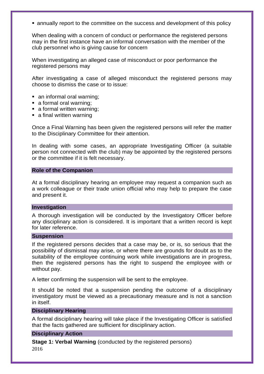■ annually report to the committee on the success and development of this policy

When dealing with a concern of conduct or performance the registered persons may in the first instance have an informal conversation with the member of the club personnel who is giving cause for concern

When investigating an alleged case of misconduct or poor performance the registered persons may

After investigating a case of alleged misconduct the registered persons may choose to dismiss the case or to issue:

- an informal oral warning:
- a formal oral warning;
- a formal written warning;
- a final written warning

Once a Final Warning has been given the registered persons will refer the matter to the Disciplinary Committee for their attention.

In dealing with some cases, an appropriate Investigating Officer (a suitable person not connected with the club) may be appointed by the registered persons or the committee if it is felt necessary.

#### **Role of the Companion**

At a formal disciplinary hearing an employee may request a companion such as a work colleague or their trade union official who may help to prepare the case and present it.

## **Investigation**

A thorough investigation will be conducted by the Investigatory Officer before any disciplinary action is considered. It is important that a written record is kept for later reference.

## **Suspension**

If the registered persons decides that a case may be, or is, so serious that the possibility of dismissal may arise, or where there are grounds for doubt as to the suitability of the employee continuing work while investigations are in progress, then the registered persons has the right to suspend the employee with or without pay.

A letter confirming the suspension will be sent to the employee.

It should be noted that a suspension pending the outcome of a disciplinary investigatory must be viewed as a precautionary measure and is not a sanction in itself.

# **Disciplinary Hearing**

A formal disciplinary hearing will take place if the Investigating Officer is satisfied that the facts gathered are sufficient for disciplinary action.

# **Disciplinary Action**

2016 **Stage 1: Verbal Warning** (conducted by the registered persons)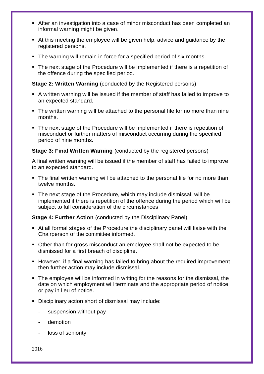- After an investigation into a case of minor misconduct has been completed an informal warning might be given.
- At this meeting the employee will be given help, advice and guidance by the registered persons.
- The warning will remain in force for a specified period of six months.
- The next stage of the Procedure will be implemented if there is a repetition of the offence during the specified period.

# **Stage 2: Written Warning** (conducted by the Registered persons)

- A written warning will be issued if the member of staff has failed to improve to an expected standard.
- The written warning will be attached to the personal file for no more than nine months.
- The next stage of the Procedure will be implemented if there is repetition of misconduct or further matters of misconduct occurring during the specified period of nine months.

# **Stage 3: Final Written Warning** (conducted by the registered persons)

A final written warning will be issued if the member of staff has failed to improve to an expected standard.

- The final written warning will be attached to the personal file for no more than twelve months.
- The next stage of the Procedure, which may include dismissal, will be implemented if there is repetition of the offence during the period which will be subject to full consideration of the circumstances

# **Stage 4: Further Action** (conducted by the Disciplinary Panel)

- At all formal stages of the Procedure the disciplinary panel will liaise with the Chairperson of the committee informed.
- Other than for gross misconduct an employee shall not be expected to be dismissed for a first breach of discipline.
- However, if a final warning has failed to bring about the required improvement then further action may include dismissal.
- The employee will be informed in writing for the reasons for the dismissal, the date on which employment will terminate and the appropriate period of notice or pay in lieu of notice.
- Disciplinary action short of dismissal may include:
	- suspension without pay
	- demotion
	- loss of seniority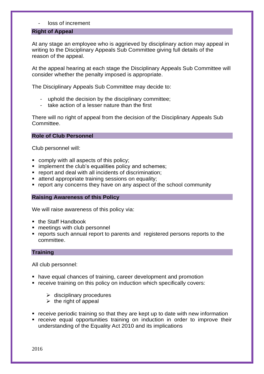# - loss of increment

# **Right of Appeal**

At any stage an employee who is aggrieved by disciplinary action may appeal in writing to the Disciplinary Appeals Sub Committee giving full details of the reason of the appeal.

At the appeal hearing at each stage the Disciplinary Appeals Sub Committee will consider whether the penalty imposed is appropriate.

The Disciplinary Appeals Sub Committee may decide to:

- uphold the decision by the disciplinary committee;
- take action of a lesser nature than the first

There will no right of appeal from the decision of the Disciplinary Appeals Sub Committee.

# **Role of Club Personnel**

Club personnel will:

- comply with all aspects of this policy;
- **.** implement the club's equalities policy and schemes;
- report and deal with all incidents of discrimination;
- attend appropriate training sessions on equality;
- report any concerns they have on any aspect of the school community

#### **Raising Awareness of this Policy**

We will raise awareness of this policy via:

- the Staff Handbook
- meetings with club personnel
- reports such annual report to parents and registered persons reports to the committee.

# **Training**

All club personnel:

- have equal chances of training, career development and promotion
- receive training on this policy on induction which specifically covers:
	- $\triangleright$  disciplinary procedures
	- $\triangleright$  the right of appeal
- receive periodic training so that they are kept up to date with new information
- receive equal opportunities training on induction in order to improve their understanding of the Equality Act 2010 and its implications